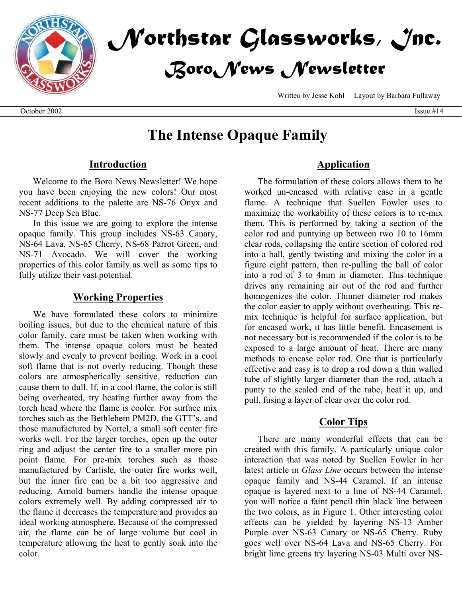



Written by Jesse Kohl Layout by Barbara Fullaway

# **The Intense Opaque Family**

### **Introduction**

Welcome to the Boro News Newsletter! We hope you have been enjoying the new colors! Our most recent additions to the palette are NS-76 Onyx and NS-77 Deep Sea Blue.

In this issue we are going to explore the intense opaque family. This group includes NS-63 Canary, NS-64 Lava, NS-65 Cherry, NS-68 Parrot Green, and NS-71 Avocado. We will cover the working properties of this color family as well as some tips to fully utilize their vast potential.

#### **Working Properties**

We have formulated these colors to minimize boiling issues, but due to the chemical nature of this color family, care must be taken when working with them. The intense opaque colors must be heated slowly and evenly to prevent boiling. Work in a cool soft flame that is not overly reducing. Though these colors are atmospherically sensitive, reduction can cause them to dull. If, in a cool flame, the color is still being overheated, try heating further away from the torch head where the flame is cooler. For surface mix torches such as the Bethlehem PM2D, the GTT's, and those manufactured by Nortel, a small soft center fire works well. For the larger torches, open up the outer ring and adjust the center fire to a smaller more pin point flame. For pre-mix torches such as those manufactured by Carlisle, the outer fire works well, but the inner fire can be a bit too aggressive and reducing. Arnold burners handle the intense opaque colors extremely well. By adding compressed air to the flame it decreases the temperature and provides an ideal working atmosphere. Because of the compressed air, the flame can be of large volume but cool in temperature allowing the heat to gently soak into the color.

### **Application**

The formulation of these colors allows them to be worked un-encased with relative ease in a gentle flame. A technique that Suellen Fowler uses to maximize the workability of these colors is to re-mix them. This is performed by taking a section of the color rod and puntying up between two 10 to 16mm clear rods, collapsing the entire section of colored rod into a ball, gently twisting and mixing the color in a figure eight pattern, then re-pulling the ball of color into a rod of 3 to 4mm in diameter. This technique drives any remaining air out of the rod and further homogenizes the color. Thinner diameter rod makes the color easier to apply without overheating. This remix technique is helpful for surface application, but for encased work, it has little benefit. Encasement is not necessary but is recommended if the color is to be exposed to a large amount of heat. There are many methods to encase color rod. One that is particularly effective and easy is to drop a rod down a thin walled tube of slightly larger diameter than the rod, attach a punty to the sealed end of the tube, heat it up, and pull, fusing a layer of clear over the color rod.

### **Color Tips**

There are many wonderful effects that can be created with this family. A particularly unique color interaction that was noted by Suellen Fowler in her latest article in *Glass Line* occurs between the intense opaque family and NS-44 Caramel. If an intense opaque is layered next to a line of NS-44 Caramel, you will notice a faint pencil thin black line between the two colors, as in Figure 1. Other interesting color effects can be yielded by layering NS-13 Amber Purple over NS-63 Canary or NS-65 Cherry. Ruby goes well over NS-64 Lava and NS-65 Cherry. For bright lime greens try layering NS-03 Multi over NS-

October 2002 Issue #14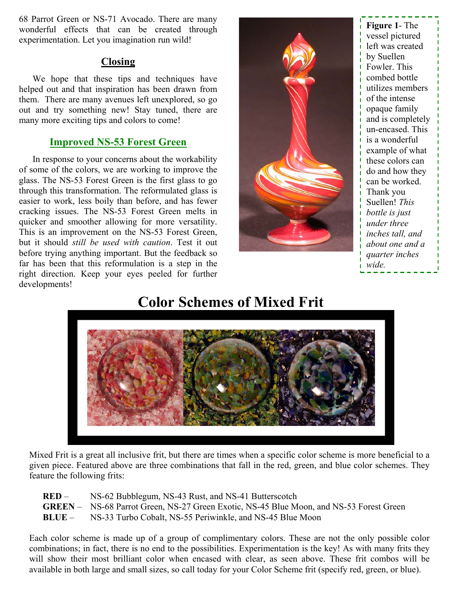68 Parrot Green or NS-71 Avocado. There are many wonderful effects that can be created through experimentation. Let you imagination run wild!

## **Closing**

We hope that these tips and techniques have helped out and that inspiration has been drawn from them. There are many avenues left unexplored, so go out and try something new! Stay tuned, there are many more exciting tips and colors to come!

# **Improved NS-53 Forest Green**

In response to your concerns about the workability of some of the colors, we are working to improve the glass. The NS-53 Forest Green is the first glass to go through this transformation. The reformulated glass is easier to work, less boily than before, and has fewer cracking issues. The NS-53 Forest Green melts in quicker and smoother allowing for more versatility. This is an improvement on the NS-53 Forest Green, but it should *still be used with caution*. Test it out before trying anything important. But the feedback so far has been that this reformulation is a step in the right direction. Keep your eyes peeled for further developments!



**Figure 1**- The vessel pictured left was created by Suellen Fowler. This combed bottle utilizes members of the intense opaque family and is completely un-encased. This is a wonderful example of what these colors can do and how they can be worked. Thank you Suellen! *This bottle is just under three inches tall, and about one and a quarter inches wide.*

# **Color Schemes of Mixed Frit**



Mixed Frit is a great all inclusive frit, but there are times when a specific color scheme is more beneficial to a given piece. Featured above are three combinations that fall in the red, green, and blue color schemes. They feature the following frits:

| RED – | NS-62 Bubblegum, NS-43 Rust, and NS-41 Butterscotch |
|-------|-----------------------------------------------------|
|-------|-----------------------------------------------------|

- **GREEN** NS-68 Parrot Green, NS-27 Green Exotic, NS-45 Blue Moon, and NS-53 Forest Green
- **BLUE** NS-33 Turbo Cobalt, NS-55 Periwinkle, and NS-45 Blue Moon

Each color scheme is made up of a group of complimentary colors. These are not the only possible color combinations; in fact, there is no end to the possibilities. Experimentation is the key! As with many frits they will show their most brilliant color when encased with clear, as seen above. These frit combos will be available in both large and small sizes, so call today for your Color Scheme frit (specify red, green, or blue).